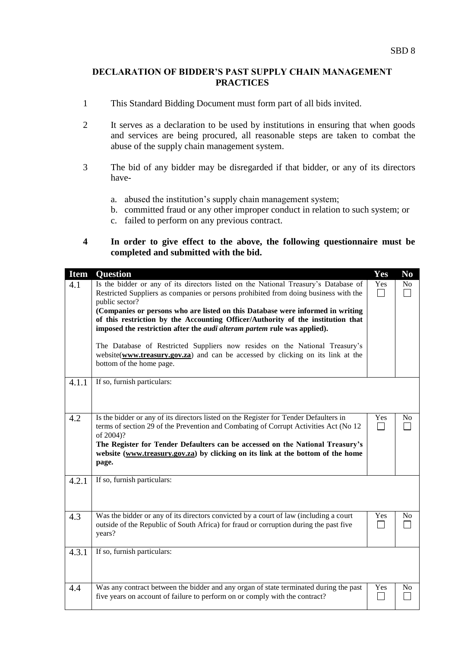## **DECLARATION OF BIDDER'S PAST SUPPLY CHAIN MANAGEMENT PRACTICES**

- 1 This Standard Bidding Document must form part of all bids invited.
- 2 It serves as a declaration to be used by institutions in ensuring that when goods and services are being procured, all reasonable steps are taken to combat the abuse of the supply chain management system.
- 3 The bid of any bidder may be disregarded if that bidder, or any of its directors have
	- a. abused the institution's supply chain management system;
	- b. committed fraud or any other improper conduct in relation to such system; or
	- c. failed to perform on any previous contract.
- **4 In order to give effect to the above, the following questionnaire must be completed and submitted with the bid.**

| <b>Item</b><br>4.1 | <b>Question</b><br>Is the bidder or any of its directors listed on the National Treasury's Database of<br>Restricted Suppliers as companies or persons prohibited from doing business with the<br>public sector?<br>(Companies or persons who are listed on this Database were informed in writing<br>of this restriction by the Accounting Officer/Authority of the institution that<br>imposed the restriction after the <i>audi alteram partem</i> rule was applied).<br>The Database of Restricted Suppliers now resides on the National Treasury's<br>website(www.treasury.gov.za) and can be accessed by clicking on its link at the<br>bottom of the home page. | Yes<br>Yes | No<br>N <sub>o</sub> |
|--------------------|------------------------------------------------------------------------------------------------------------------------------------------------------------------------------------------------------------------------------------------------------------------------------------------------------------------------------------------------------------------------------------------------------------------------------------------------------------------------------------------------------------------------------------------------------------------------------------------------------------------------------------------------------------------------|------------|----------------------|
| 4.1.1<br>4.2       | If so, furnish particulars:<br>Is the bidder or any of its directors listed on the Register for Tender Defaulters in<br>terms of section 29 of the Prevention and Combating of Corrupt Activities Act (No 12<br>of 2004)?<br>The Register for Tender Defaulters can be accessed on the National Treasury's<br>website (www.treasury.gov.za) by clicking on its link at the bottom of the home<br>page.                                                                                                                                                                                                                                                                 | Yes        | No                   |
| 4.2.1<br>4.3       | If so, furnish particulars:<br>Was the bidder or any of its directors convicted by a court of law (including a court                                                                                                                                                                                                                                                                                                                                                                                                                                                                                                                                                   | Yes        | N <sub>0</sub>       |
|                    | outside of the Republic of South Africa) for fraud or corruption during the past five<br>years?                                                                                                                                                                                                                                                                                                                                                                                                                                                                                                                                                                        |            |                      |
| 4.3.1              | If so, furnish particulars:                                                                                                                                                                                                                                                                                                                                                                                                                                                                                                                                                                                                                                            |            |                      |
| 4.4                | Was any contract between the bidder and any organ of state terminated during the past<br>five years on account of failure to perform on or comply with the contract?                                                                                                                                                                                                                                                                                                                                                                                                                                                                                                   | Yes        | No                   |